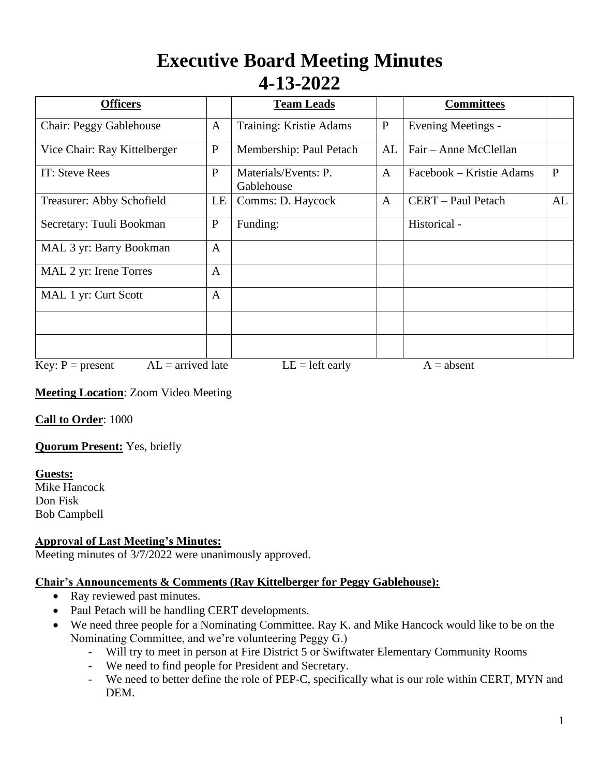# **Executive Board Meeting Minutes 4-13-2022**

| <b>Officers</b>                           |              | <b>Team Leads</b>                  |              | <b>Committees</b>         |              |
|-------------------------------------------|--------------|------------------------------------|--------------|---------------------------|--------------|
| <b>Chair: Peggy Gablehouse</b>            | $\mathbf{A}$ | Training: Kristie Adams            | $\mathbf{P}$ | <b>Evening Meetings -</b> |              |
| Vice Chair: Ray Kittelberger              | $\mathbf{P}$ | Membership: Paul Petach            | AL           | Fair – Anne McClellan     |              |
| IT: Steve Rees                            | $\mathbf{P}$ | Materials/Events: P.<br>Gablehouse | $\mathbf{A}$ | Facebook – Kristie Adams  | $\mathbf{P}$ |
| Treasurer: Abby Schofield                 | LE           | Comms: D. Haycock                  | $\mathbf{A}$ | CERT - Paul Petach        | AL           |
| Secretary: Tuuli Bookman                  | $\mathbf{P}$ | Funding:                           |              | Historical -              |              |
| MAL 3 yr: Barry Bookman                   | $\mathbf{A}$ |                                    |              |                           |              |
| MAL 2 yr: Irene Torres                    | $\mathbf{A}$ |                                    |              |                           |              |
| MAL 1 yr: Curt Scott                      | $\mathbf{A}$ |                                    |              |                           |              |
|                                           |              |                                    |              |                           |              |
|                                           |              |                                    |              |                           |              |
| $AL =$ arrived late<br>Key: $P = present$ |              | $LE = left$ early                  |              | $A = absent$              |              |

**Meeting Location**: Zoom Video Meeting

**Call to Order**: 1000

**Quorum Present:** Yes, briefly

# **Guests:**

Mike Hancock Don Fisk Bob Campbell

# **Approval of Last Meeting's Minutes:**

Meeting minutes of 3/7/2022 were unanimously approved.

#### **Chair's Announcements & Comments (Ray Kittelberger for Peggy Gablehouse):**

- Ray reviewed past minutes.
- Paul Petach will be handling CERT developments.
- We need three people for a Nominating Committee. Ray K. and Mike Hancock would like to be on the Nominating Committee, and we're volunteering Peggy G.)
	- Will try to meet in person at Fire District 5 or Swiftwater Elementary Community Rooms
	- We need to find people for President and Secretary.
	- We need to better define the role of PEP-C, specifically what is our role within CERT, MYN and DEM.